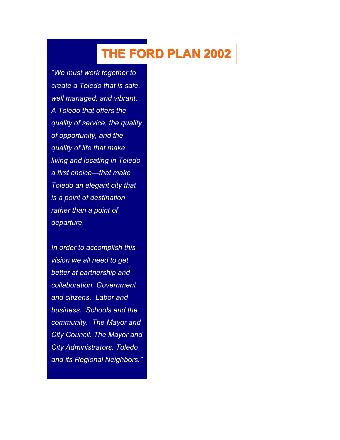# **THE FORD PLAN 2002**

*"We must work together to create a Toledo that is safe, well managed, and vibrant. A Toledo that offers the quality of service, the quality of opportunity, and the quality of life that make living and locating in Toledo a first choice—that make Toledo an elegant city that is a point of destination rather than a point of departure.* 

*In order to accomplish this vision we all need to get better at partnership and collaboration. Government and citizens. Labor and business. Schools and the community. The Mayor and City Council. The Mayor and City Administrators. Toledo and its Regional Neighbors."*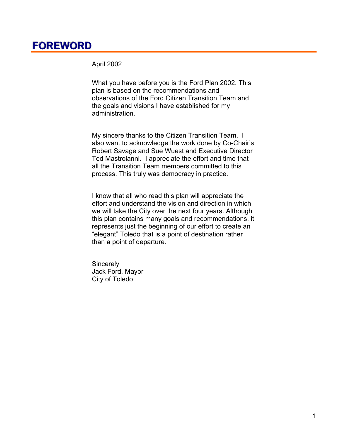# **FOREWORD**

April 2002

What you have before you is the Ford Plan 2002. This plan is based on the recommendations and observations of the Ford Citizen Transition Team and the goals and visions I have established for my administration.

My sincere thanks to the Citizen Transition Team. I also want to acknowledge the work done by Co-Chair's Robert Savage and Sue Wuest and Executive Director Ted Mastroianni. I appreciate the effort and time that all the Transition Team members committed to this process. This truly was democracy in practice.

I know that all who read this plan will appreciate the effort and understand the vision and direction in which we will take the City over the next four years. Although this plan contains many goals and recommendations, it represents just the beginning of our effort to create an "elegant" Toledo that is a point of destination rather than a point of departure.

**Sincerely** Jack Ford, Mayor City of Toledo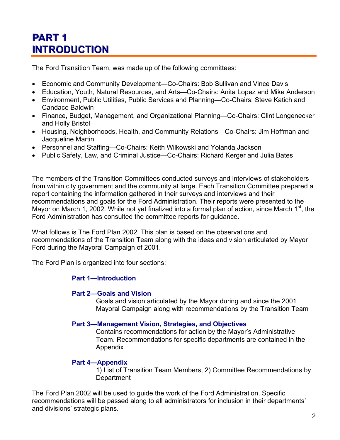# **PART1 INTRODUCTION**

The Ford Transition Team, was made up of the following committees:

- Economic and Community Development—Co-Chairs: Bob Sullivan and Vince Davis
- Education, Youth, Natural Resources, and Arts—Co-Chairs: Anita Lopez and Mike Anderson
- Environment, Public Utilities, Public Services and Planning—Co-Chairs: Steve Katich and Candace Baldwin
- Finance, Budget, Management, and Organizational Planning—Co-Chairs: Clint Longenecker and Holly Bristol
- Housing, Neighborhoods, Health, and Community Relations—Co-Chairs: Jim Hoffman and Jacqueline Martin
- Personnel and Staffing—Co-Chairs: Keith Wilkowski and Yolanda Jackson
- Public Safety, Law, and Criminal Justice—Co-Chairs: Richard Kerger and Julia Bates

The members of the Transition Committees conducted surveys and interviews of stakeholders from within city government and the community at large. Each Transition Committee prepared a report containing the information gathered in their surveys and interviews and their recommendations and goals for the Ford Administration. Their reports were presented to the Mayor on March 1, 2002. While not yet finalized into a formal plan of action, since March  $1<sup>st</sup>$ , the Ford Administration has consulted the committee reports for guidance.

What follows is The Ford Plan 2002. This plan is based on the observations and recommendations of the Transition Team along with the ideas and vision articulated by Mayor Ford during the Mayoral Campaign of 2001.

The Ford Plan is organized into four sections:

#### **Part 1—Introduction**

#### **Part 2—Goals and Vision**

Goals and vision articulated by the Mayor during and since the 2001 Mayoral Campaign along with recommendations by the Transition Team

#### **Part 3—Management Vision, Strategies, and Objectives**

Contains recommendations for action by the Mayor's Administrative Team. Recommendations for specific departments are contained in the Appendix

#### **Part 4—Appendix**

1) List of Transition Team Members, 2) Committee Recommendations by **Department** 

The Ford Plan 2002 will be used to guide the work of the Ford Administration. Specific recommendations will be passed along to all administrators for inclusion in their departments' and divisions' strategic plans.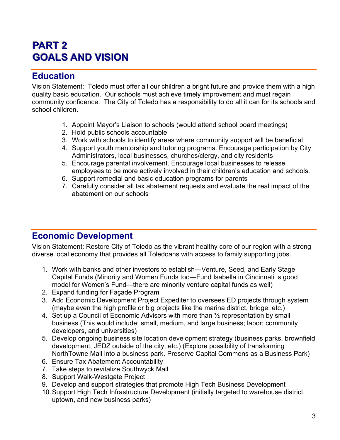# **PART 2 GOALS AND VISION**

### **Education**

Vision Statement: Toledo must offer all our children a bright future and provide them with a high quality basic education. Our schools must achieve timely improvement and must regain community confidence. The City of Toledo has a responsibility to do all it can for its schools and school children.

- 1. Appoint Mayor's Liaison to schools (would attend school board meetings)
- 2. Hold public schools accountable
- 3. Work with schools to identify areas where community support will be beneficial
- 4. Support youth mentorship and tutoring programs. Encourage participation by City Administrators, local businesses, churches/clergy, and city residents
- 5. Encourage parental involvement. Encourage local businesses to release employees to be more actively involved in their children's education and schools.
- 6. Support remedial and basic education programs for parents
- 7. Carefully consider all tax abatement requests and evaluate the real impact of the abatement on our schools

### **Economic Development**

Vision Statement: Restore City of Toledo as the vibrant healthy core of our region with a strong diverse local economy that provides all Toledoans with access to family supporting jobs.

- 1. Work with banks and other investors to establish---Venture, Seed, and Early Stage Capital Funds (Minority and Women Funds too—Fund Isabella in Cincinnati is good model for Women's Fund—there are minority venture capital funds as well)
- 2. Expand funding for Façade Program
- 3. Add Economic Development Project Expediter to oversees ED projects through system (maybe even the high profile or big projects like the marina district, bridge, etc.)
- 4. Set up a Council of Economic Advisors with more than ½ representation by small business (This would include: small, medium, and large business; labor; community developers, and universities)
- 5. Develop ongoing business site location development strategy (business parks, brownfield development, JEDZ outside of the city, etc.) (Explore possibility of transforming NorthTowne Mall into a business park. Preserve Capital Commons as a Business Park)
- 6. Ensure Tax Abatement Accountability
- 7. Take steps to revitalize Southwyck Mall
- 8. Support Walk-Westgate Project
- 9. Develop and support strategies that promote High Tech Business Development
- 10. Support High Tech Infrastructure Development (initially targeted to warehouse district, uptown, and new business parks)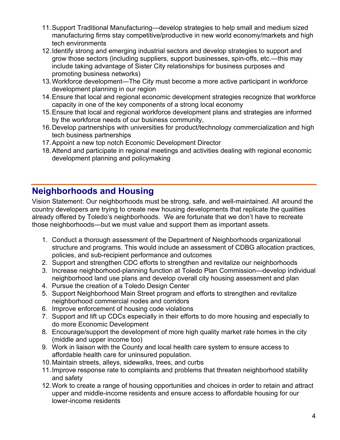- 11. Support Traditional Manufacturing—develop strategies to help small and medium sized manufacturing firms stay competitive/productive in new world economy/markets and high tech environments
- 12. Identify strong and emerging industrial sectors and develop strategies to support and grow those sectors (including suppliers, support businesses, spin-offs, etc.—this may include taking advantage of Sister City relationships for business purposes and promoting business networks)
- 13. Workforce development—The City must become a more active participant in workforce development planning in our region
- 14. Ensure that local and regional economic development strategies recognize that workforce capacity in one of the key components of a strong local economy
- 15. Ensure that local and regional workforce development plans and strategies are informed by the workforce needs of our business community,
- 16. Develop partnerships with universities for product/technology commercialization and high tech business partnerships
- 17. Appoint a new top notch Economic Development Director
- 18. Attend and participate in regional meetings and activities dealing with regional economic development planning and policymaking

# **Neighborhoods and Housing**

Vision Statement: Our neighborhoods must be strong, safe, and well-maintained. All around the country developers are trying to create new housing developments that replicate the qualities already offered by Toledo's neighborhoods. We are fortunate that we don't have to recreate those neighborhoods—but we must value and support them as important assets.

- 1. Conduct a thorough assessment of the Department of Neighborhoods organizational structure and programs. This would include an assessment of CDBG allocation practices, policies, and sub-recipient performance and outcomes
- 2. Support and strengthen CDC efforts to strengthen and revitalize our neighborhoods
- 3. Increase neighborhood-planning function at Toledo Plan Commission—develop individual neighborhood land use plans and develop overall city housing assessment and plan
- 4. Pursue the creation of a Toledo Design Center
- 5. Support Neighborhood Main Street program and efforts to strengthen and revitalize neighborhood commercial nodes and corridors
- 6. Improve enforcement of housing code violations
- 7. Support and lift up CDCs especially in their efforts to do more housing and especially to do more Economic Development
- 8. Encourage/support the development of more high quality market rate homes in the city (middle and upper income too)
- 9. Work in liaison with the County and local health care system to ensure access to affordable health care for uninsured population.
- 10. Maintain streets, alleys, sidewalks, trees, and curbs
- 11. Improve response rate to complaints and problems that threaten neighborhood stability and safety
- 12. Work to create a range of housing opportunities and choices in order to retain and attract upper and middle-income residents and ensure access to affordable housing for our lower-income residents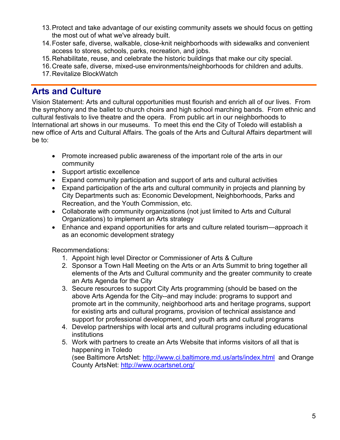- 13. Protect and take advantage of our existing community assets we should focus on getting the most out of what we've already built.
- 14. Foster safe, diverse, walkable, close-knit neighborhoods with sidewalks and convenient access to stores, schools, parks, recreation, and jobs.
- 15. Rehabilitate, reuse, and celebrate the historic buildings that make our city special.
- 16. Create safe, diverse, mixed-use environments/neighborhoods for children and adults.
- 17. Revitalize BlockWatch

## **Arts and Culture**

Vision Statement: Arts and cultural opportunities must flourish and enrich all of our lives. From the symphony and the ballet to church choirs and high school marching bands. From ethnic and cultural festivals to live theatre and the opera. From public art in our neighborhoods to International art shows in our museums. To meet this end the City of Toledo will establish a new office of Arts and Cultural Affairs. The goals of the Arts and Cultural Affairs department will be to:

- Promote increased public awareness of the important role of the arts in our community
- Support artistic excellence
- Expand community participation and support of arts and cultural activities
- Expand participation of the arts and cultural community in projects and planning by City Departments such as: Economic Development, Neighborhoods, Parks and Recreation, and the Youth Commission, etc.
- Collaborate with community organizations (not just limited to Arts and Cultural Organizations) to implement an Arts strategy
- Enhance and expand opportunities for arts and culture related tourism—approach it as an economic development strategy

Recommendations:

- 1. Appoint high level Director or Commissioner of Arts & Culture
- 2. Sponsor a Town Hall Meeting on the Arts or an Arts Summit to bring together all elements of the Arts and Cultural community and the greater community to create an Arts Agenda for the City
- 3. Secure resources to support City Arts programming (should be based on the above Arts Agenda for the City--and may include: programs to support and promote art in the community, neighborhood arts and heritage programs, support for existing arts and cultural programs, provision of technical assistance and support for professional development, and youth arts and cultural programs
- 4. Develop partnerships with local arts and cultural programs including educational institutions
- 5. Work with partners to create an Arts Website that informs visitors of all that is happening in Toledo

(see Baltimore ArtsNet: http://www.ci.baltimore.md.us/arts/index.html and Orange County ArtsNet: http://www.ocartsnet.org/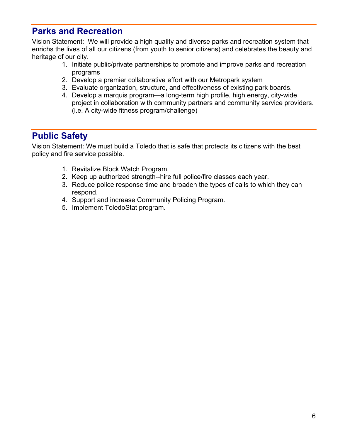### **Parks and Recreation**

Vision Statement: We will provide a high quality and diverse parks and recreation system that enrichs the lives of all our citizens (from youth to senior citizens) and celebrates the beauty and heritage of our city.

- 1. Initiate public/private partnerships to promote and improve parks and recreation programs
- 2. Develop a premier collaborative effort with our Metropark system
- 3. Evaluate organization, structure, and effectiveness of existing park boards.
- 4. Develop a marquis program—a long-term high profile, high energy, city-wide project in collaboration with community partners and community service providers. (i.e. A city-wide fitness program/challenge)

### **Public Safety**

Vision Statement: We must build a Toledo that is safe that protects its citizens with the best policy and fire service possible.

- 1. Revitalize Block Watch Program.
- 2. Keep up authorized strength--hire full police/fire classes each year.
- 3. Reduce police response time and broaden the types of calls to which they can respond.
- 4. Support and increase Community Policing Program.
- 5. Implement ToledoStat program.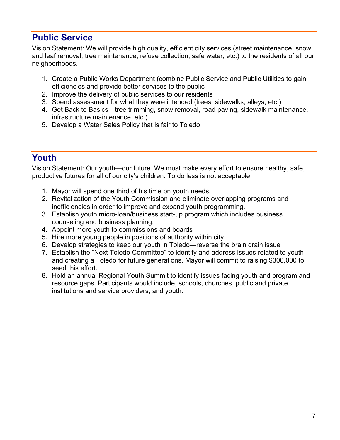## **Public Service**

Vision Statement: We will provide high quality, efficient city services (street maintenance, snow and leaf removal, tree maintenance, refuse collection, safe water, etc.) to the residents of all our neighborhoods.

- 1. Create a Public Works Department (combine Public Service and Public Utilities to gain efficiencies and provide better services to the public
- 2. Improve the delivery of public services to our residents
- 3. Spend assessment for what they were intended (trees, sidewalks, alleys, etc.)
- 4. Get Back to Basics—tree trimming, snow removal, road paving, sidewalk maintenance, infrastructure maintenance, etc.)
- 5. Develop a Water Sales Policy that is fair to Toledo

## **Youth**

Vision Statement: Our youth—our future. We must make every effort to ensure healthy, safe, productive futures for all of our city's children. To do less is not acceptable.

- 1. Mayor will spend one third of his time on youth needs.
- 2. Revitalization of the Youth Commission and eliminate overlapping programs and inefficiencies in order to improve and expand youth programming.
- 3. Establish youth micro-loan/business start-up program which includes business counseling and business planning.
- 4. Appoint more youth to commissions and boards
- 5. Hire more young people in positions of authority within city
- 6. Develop strategies to keep our youth in Toledo—reverse the brain drain issue
- 7. Establish the "Next Toledo Committee" to identify and address issues related to youth and creating a Toledo for future generations. Mayor will commit to raising \$300,000 to seed this effort.
- 8. Hold an annual Regional Youth Summit to identify issues facing youth and program and resource gaps. Participants would include, schools, churches, public and private institutions and service providers, and youth.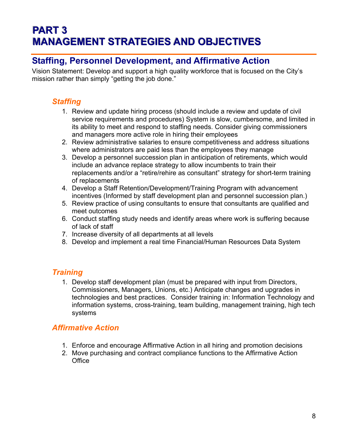# **PART 3 MANAGEMENT STRATEGIES AND OBJECTIVES**

### **Staffing, Personnel Development, and Affirmative Action**

Vision Statement: Develop and support a high quality workforce that is focused on the City's mission rather than simply "getting the job done."

### *Staffing*

- 1. Review and update hiring process (should include a review and update of civil service requirements and procedures) System is slow, cumbersome, and limited in its ability to meet and respond to staffing needs. Consider giving commissioners and managers more active role in hiring their employees
- 2. Review administrative salaries to ensure competitiveness and address situations where administrators are paid less than the employees they manage
- 3. Develop a personnel succession plan in anticipation of retirements, which would include an advance replace strategy to allow incumbents to train their replacements and/or a "retire/rehire as consultant" strategy for short-term training of replacements
- 4. Develop a Staff Retention/Development/Training Program with advancement incentives (Informed by staff development plan and personnel succession plan.)
- 5. Review practice of using consultants to ensure that consultants are qualified and meet outcomes
- 6. Conduct staffing study needs and identify areas where work is suffering because of lack of staff
- 7. Increase diversity of all departments at all levels
- 8. Develop and implement a real time Financial/Human Resources Data System

### *Training*

1. Develop staff development plan (must be prepared with input from Directors, Commissioners, Managers, Unions, etc.) Anticipate changes and upgrades in technologies and best practices. Consider training in: Information Technology and information systems, cross-training, team building, management training, high tech systems

### *Affirmative Action*

- 1. Enforce and encourage Affirmative Action in all hiring and promotion decisions
- 2. Move purchasing and contract compliance functions to the Affirmative Action **Office**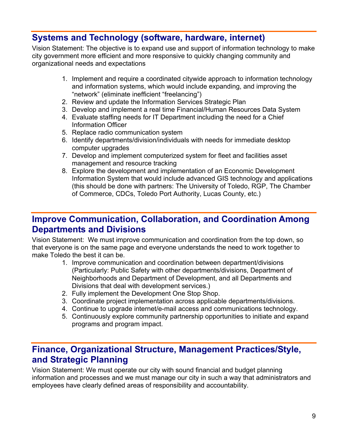## **Systems and Technology (software, hardware, internet)**

Vision Statement: The objective is to expand use and support of information technology to make city government more efficient and more responsive to quickly changing community and organizational needs and expectations

- 1. Implement and require a coordinated citywide approach to information technology and information systems, which would include expanding, and improving the "network" (eliminate inefficient "freelancing")
- 2. Review and update the Information Services Strategic Plan
- 3. Develop and implement a real time Financial/Human Resources Data System
- 4. Evaluate staffing needs for IT Department including the need for a Chief Information Officer
- 5. Replace radio communication system
- 6. Identify departments/division/individuals with needs for immediate desktop computer upgrades
- 7. Develop and implement computerized system for fleet and facilities asset management and resource tracking
- 8. Explore the development and implementation of an Economic Development Information System that would include advanced GIS technology and applications (this should be done with partners: The University of Toledo, RGP, The Chamber of Commerce, CDCs, Toledo Port Authority, Lucas County, etc.)

### **Improve Communication, Collaboration, and Coordination Among Departments and Divisions**

Vision Statement: We must improve communication and coordination from the top down, so that everyone is on the same page and everyone understands the need to work together to make Toledo the best it can be.

- 1. Improve communication and coordination between department/divisions (Particularly: Public Safety with other departments/divisions, Department of Neighborhoods and Department of Development, and all Departments and Divisions that deal with development services.)
- 2. Fully implement the Development One Stop Shop.
- 3. Coordinate project implementation across applicable departments/divisions.
- 4. Continue to upgrade internet/e-mail access and communications technology.
- 5. Continuously explore community partnership opportunities to initiate and expand programs and program impact.

### **Finance, Organizational Structure, Management Practices/Style, and Strategic Planning**

Vision Statement: We must operate our city with sound financial and budget planning information and processes and we must manage our city in such a way that administrators and employees have clearly defined areas of responsibility and accountability.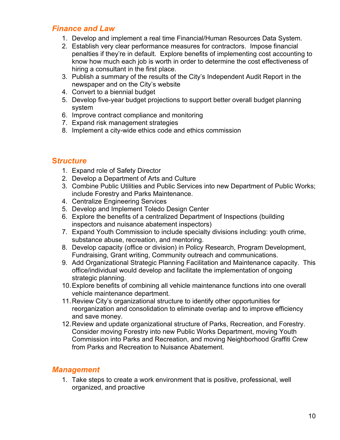#### *Finance and Law*

- 1. Develop and implement a real time Financial/Human Resources Data System.
- 2. Establish very clear performance measures for contractors. Impose financial penalties if they're in default. Explore benefits of implementing cost accounting to know how much each job is worth in order to determine the cost effectiveness of hiring a consultant in the first place.
- 3. Publish a summary of the results of the City's Independent Audit Report in the newspaper and on the City's website
- 4. Convert to a biennial budget
- 5. Develop five-year budget projections to support better overall budget planning system
- 6. Improve contract compliance and monitoring
- 7. Expand risk management strategies
- 8. Implement a city-wide ethics code and ethics commission

#### **S***tructure*

- 1. Expand role of Safety Director
- 2. Develop a Department of Arts and Culture
- 3. Combine Public Utilities and Public Services into new Department of Public Works; include Forestry and Parks Maintenance.
- 4. Centralize Engineering Services
- 5. Develop and Implement Toledo Design Center
- 6. Explore the benefits of a centralized Department of Inspections (building inspectors and nuisance abatement inspectors)
- 7. Expand Youth Commission to include specialty divisions including: youth crime, substance abuse, recreation, and mentoring.
- 8. Develop capacity (office or division) in Policy Research, Program Development, Fundraising, Grant writing, Community outreach and communications.
- 9. Add Organizational Strategic Planning Facilitation and Maintenance capacity. This office/individual would develop and facilitate the implementation of ongoing strategic planning.
- 10. Explore benefits of combining all vehicle maintenance functions into one overall vehicle maintenance department.
- 11. Review City's organizational structure to identify other opportunities for reorganization and consolidation to eliminate overlap and to improve efficiency and save money.
- 12. Review and update organizational structure of Parks, Recreation, and Forestry. Consider moving Forestry into new Public Works Department, moving Youth Commission into Parks and Recreation, and moving Neighborhood Graffiti Crew from Parks and Recreation to Nuisance Abatement.

#### *Management*

1. Take steps to create a work environment that is positive, professional, well organized, and proactive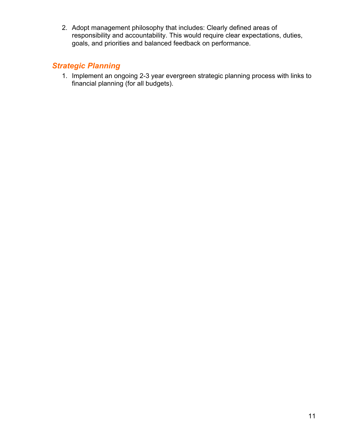2. Adopt management philosophy that includes: Clearly defined areas of responsibility and accountability. This would require clear expectations, duties, goals, and priorities and balanced feedback on performance.

### *Strategic Planning*

1. Implement an ongoing 2-3 year evergreen strategic planning process with links to financial planning (for all budgets).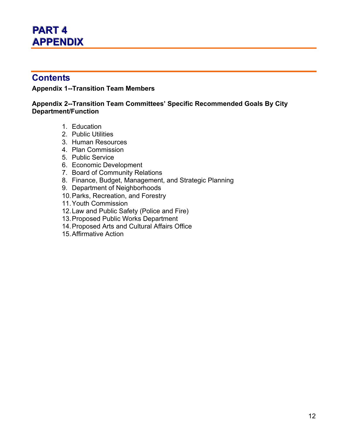# **PART4 APPENDIX**

### **Contents**

#### **Appendix 1--Transition Team Members**

#### **Appendix 2--Transition Team Committees' Specific Recommended Goals By City Department/Function**

- 1. Education
- 2. Public Utilities
- 3. Human Resources
- 4. Plan Commission
- 5. Public Service
- 6. Economic Development
- 7. Board of Community Relations
- 8. Finance, Budget, Management, and Strategic Planning
- 9. Department of Neighborhoods
- 10. Parks, Recreation, and Forestry
- 11. Youth Commission
- 12. Law and Public Safety (Police and Fire)
- 13. Proposed Public Works Department
- 14. Proposed Arts and Cultural Affairs Office
- 15. Affirmative Action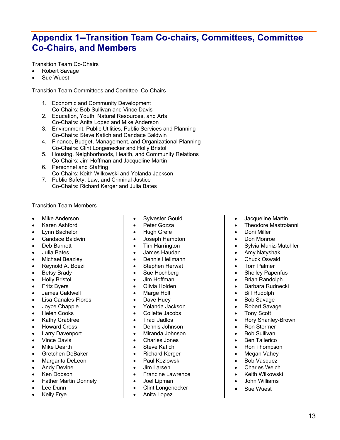## **Appendix 1--Transition Team Co-chairs, Committees, Committee Co-Chairs, and Members**

Transition Team Co-Chairs

- Robert Savage
- Sue Wuest

Transition Team Committees and Comittee Co-Chairs

- 1. Economic and Community Development Co-Chairs: Bob Sullivan and Vince Davis
- 2. Education, Youth, Natural Resources, and Arts Co-Chairs: Anita Lopez and Mike Anderson
- 3. Environment, Public Utilities, Public Services and Planning Co-Chairs: Steve Katich and Candace Baldwin
- 4. Finance, Budget, Management, and Organizational Planning Co-Chairs: Clint Longenecker and Holly Bristol
- 5. Housing, Neighborhoods, Health, and Community Relations Co-Chairs: Jim Hoffman and Jacqueline Martin
- 6. Personnel and Staffing Co-Chairs: Keith Wilkowski and Yolanda Jackson
- 7. Public Safety, Law, and Criminal Justice Co-Chairs: Richard Kerger and Julia Bates

#### Transition Team Members

- Mike Anderson
- Karen Ashford
- Lynn Bachelor
- Candace Baldwin
- Deb Barnett
- Julia Bates
- Michael Beazley
- Reynold A. Boezi
- Betsy Brady
- Holly Bristol
- Fritz Byers
- James Caldwell
- Lisa Canales-Flores
- Joyce Chapple
- Helen Cooks
- Kathy Crabtree
- Howard Cross
- Larry Davenport
- Vince Davis
- **Mike Dearth**
- Gretchen DeBaker
- Margarita DeLeon
- Andy Devine
- Ken Dobson
- Father Martin Donnely
- Lee Dunn
- **Kelly Frye**
- Sylvester Gould
- Peter Gozza
- Hugh Grefe
- Joseph Hampton
- Tim Harrington
- James Haudan
- Dennis Hellmann
- Stephen Herwat
- Sue Hochberg
- Jim Hoffman
- Olivia Holden
- Marge Holt
- Dave Huey
- Yolanda Jackson
- Collette Jacobs
- Traci Jadlos
- Dennis Johnson
- Miranda Johnson
- Charles Jones
- Steve Katich
- Richard Kerger
- Paul Kozlowski
- Jim Larsen
- Francine Lawrence
- Joel Lipman
- Clint Longenecker
- Anita Lopez
- Jacqueline Martin
- Theodore Mastroianni
- Doni Miller
- Don Monroe
- Sylvia Muniz-Mutchler
- Amy Natyshak
- **Chuck Oswald**
- **Tom Palmer**
- **Shelley Papenfus**
- Brian Randolph
- Barbara Rudnecki
- Bill Rudolph
- Bob Savage
- Robert Savage
- Tony Scott
- Rory Shanley-Brown
- Ron Stormer
- Bob Sullivan
- Ben Tallerico
- Ron Thompson
- Megan Vahey
- Bob Vasquez
- Charles Welch
- Keith Wilkowski
- John Williams
- Sue Wuest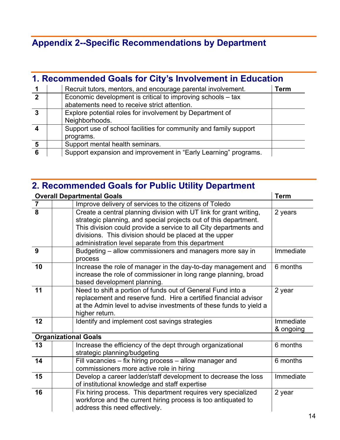# **Appendix 2--Specific Recommendations by Department**

# **1. Recommended Goals for City's Involvement in Education**

|   | Recruit tutors, mentors, and encourage parental involvement.      | Term |
|---|-------------------------------------------------------------------|------|
| 2 | Economic development is critical to improving schools - tax       |      |
|   | abatements need to receive strict attention.                      |      |
|   | Explore potential roles for involvement by Department of          |      |
|   | Neighborhoods.                                                    |      |
|   | Support use of school facilities for community and family support |      |
|   | programs.                                                         |      |
|   | Support mental health seminars.                                   |      |
|   | Support expansion and improvement in "Early Learning" programs.   |      |

# **2. Recommended Goals for Public Utility Department**

|                | <b>Overall Departmental Goals</b>                                                                                                                                                                                                                                                                                           | <b>Term</b>            |
|----------------|-----------------------------------------------------------------------------------------------------------------------------------------------------------------------------------------------------------------------------------------------------------------------------------------------------------------------------|------------------------|
| $\overline{7}$ | Improve delivery of services to the citizens of Toledo                                                                                                                                                                                                                                                                      |                        |
| $\overline{8}$ | Create a central planning division with UT link for grant writing,<br>strategic planning, and special projects out of this department.<br>This division could provide a service to all City departments and<br>divisions. This division should be placed at the upper<br>administration level separate from this department | 2 years                |
| 9              | Budgeting – allow commissioners and managers more say in<br>process                                                                                                                                                                                                                                                         | Immediate              |
| 10             | Increase the role of manager in the day-to-day management and<br>increase the role of commissioner in long range planning, broad<br>based development planning.                                                                                                                                                             | 6 months               |
| 11             | Need to shift a portion of funds out of General Fund into a<br>replacement and reserve fund. Hire a certified financial advisor<br>at the Admin level to advise investments of these funds to yield a<br>higher return.                                                                                                     | 2 year                 |
| 12             | Identify and implement cost savings strategies                                                                                                                                                                                                                                                                              | Immediate<br>& ongoing |
|                | <b>Organizational Goals</b>                                                                                                                                                                                                                                                                                                 |                        |
| 13             | Increase the efficiency of the dept through organizational<br>strategic planning/budgeting                                                                                                                                                                                                                                  | 6 months               |
| 14             | Fill vacancies – fix hiring process – allow manager and<br>commissioners more active role in hiring                                                                                                                                                                                                                         | 6 months               |
| 15             | Develop a career ladder/staff development to decrease the loss<br>of institutional knowledge and staff expertise                                                                                                                                                                                                            | Immediate              |
| 16             | Fix hiring process. This department requires very specialized<br>workforce and the current hiring process is too antiquated to<br>address this need effectively.                                                                                                                                                            | 2 year                 |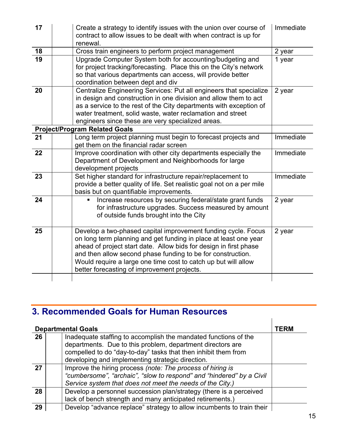| 17 | Create a strategy to identify issues with the union over course of<br>contract to allow issues to be dealt with when contract is up for<br>renewal.                                                                                                                                                                                                                                    | Immediate |
|----|----------------------------------------------------------------------------------------------------------------------------------------------------------------------------------------------------------------------------------------------------------------------------------------------------------------------------------------------------------------------------------------|-----------|
| 18 | Cross train engineers to perform project management                                                                                                                                                                                                                                                                                                                                    | 2 year    |
| 19 | Upgrade Computer System both for accounting/budgeting and<br>for project tracking/forecasting. Place this on the City's network<br>so that various departments can access, will provide better<br>coordination between dept and div                                                                                                                                                    | 1 year    |
| 20 | Centralize Engineering Services: Put all engineers that specialize<br>in design and construction in one division and allow them to act<br>as a service to the rest of the City departments with exception of<br>water treatment, solid waste, water reclamation and street<br>engineers since these are very specialized areas.                                                        | 2 year    |
|    | <b>Project/Program Related Goals</b>                                                                                                                                                                                                                                                                                                                                                   |           |
| 21 | Long term project planning must begin to forecast projects and<br>get them on the financial radar screen                                                                                                                                                                                                                                                                               | Immediate |
| 22 | Improve coordination with other city departments especially the<br>Department of Development and Neighborhoods for large<br>development projects                                                                                                                                                                                                                                       | Immediate |
| 23 | Set higher standard for infrastructure repair/replacement to<br>provide a better quality of life. Set realistic goal not on a per mile<br>basis but on quantifiable improvements.                                                                                                                                                                                                      | Immediate |
| 24 | Increase resources by securing federal/state grant funds<br>for infrastructure upgrades. Success measured by amount<br>of outside funds brought into the City                                                                                                                                                                                                                          | 2 year    |
| 25 | Develop a two-phased capital improvement funding cycle. Focus<br>on long term planning and get funding in place at least one year<br>ahead of project start date. Allow bids for design in first phase<br>and then allow second phase funding to be for construction.<br>Would require a large one time cost to catch up but will allow<br>better forecasting of improvement projects. | 2 year    |
|    |                                                                                                                                                                                                                                                                                                                                                                                        |           |

# **3. Recommended Goals for Human Resources**

|    | <b>Departmental Goals</b>                                             | <b>TERM</b> |
|----|-----------------------------------------------------------------------|-------------|
| 26 | Inadequate staffing to accomplish the mandated functions of the       |             |
|    | departments. Due to this problem, department directors are            |             |
|    | compelled to do "day-to-day" tasks that then inhibit them from        |             |
|    | developing and implementing strategic direction.                      |             |
| 27 | Improve the hiring process (note: The process of hiring is            |             |
|    | "cumbersome", "archaic", "slow to respond" and "hindered" by a Civil  |             |
|    | Service system that does not meet the needs of the City.)             |             |
| 28 | Develop a personnel succession plan/strategy (there is a perceived    |             |
|    | lack of bench strength and many anticipated retirements.)             |             |
| 29 | Develop "advance replace" strategy to allow incumbents to train their |             |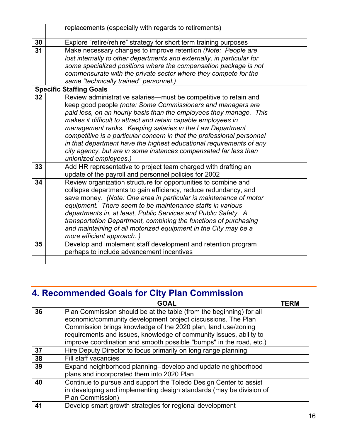|    | replacements (especially with regards to retirements)                                                                   |  |
|----|-------------------------------------------------------------------------------------------------------------------------|--|
| 30 | Explore "retire/rehire" strategy for short term training purposes                                                       |  |
| 31 | Make necessary changes to improve retention (Note: People are                                                           |  |
|    | lost internally to other departments and externally, in particular for                                                  |  |
|    | some specialized positions where the compensation package is not                                                        |  |
|    | commensurate with the private sector where they compete for the                                                         |  |
|    | same "technically trained" personnel.)                                                                                  |  |
|    | <b>Specific Staffing Goals</b>                                                                                          |  |
| 32 | Review administrative salaries-must be competitive to retain and                                                        |  |
|    | keep good people (note: Some Commissioners and managers are                                                             |  |
|    | paid less, on an hourly basis than the employees they manage. This                                                      |  |
|    | makes it difficult to attract and retain capable employees in                                                           |  |
|    | management ranks. Keeping salaries in the Law Department                                                                |  |
|    | competitive is a particular concern in that the professional personnel                                                  |  |
|    | in that department have the highest educational requirements of any                                                     |  |
|    | city agency, but are in some instances compensated far less than                                                        |  |
| 33 | unionized employees.)                                                                                                   |  |
|    | Add HR representative to project team charged with drafting an                                                          |  |
| 34 | update of the payroll and personnel policies for 2002<br>Review organization structure for opportunities to combine and |  |
|    | collapse departments to gain efficiency, reduce redundancy, and                                                         |  |
|    | save money. (Note: One area in particular is maintenance of motor                                                       |  |
|    | equipment. There seem to be maintenance staffs in various                                                               |  |
|    | departments in, at least, Public Services and Public Safety. A                                                          |  |
|    | transportation Department, combining the functions of purchasing                                                        |  |
|    | and maintaining of all motorized equipment in the City may be a                                                         |  |
|    | more efficient approach.)                                                                                               |  |
| 35 | Develop and implement staff development and retention program                                                           |  |
|    | perhaps to include advancement incentives                                                                               |  |
|    |                                                                                                                         |  |

# **4. Recommended Goals for City Plan Commission**

|    | <b>GOAL</b>                                                                                                                                                                                                                                                                                                                                       | <b>TERN</b> |
|----|---------------------------------------------------------------------------------------------------------------------------------------------------------------------------------------------------------------------------------------------------------------------------------------------------------------------------------------------------|-------------|
| 36 | Plan Commission should be at the table (from the beginning) for all<br>economic/community development project discussions. The Plan<br>Commission brings knowledge of the 2020 plan, land use/zoning<br>requirements and issues, knowledge of community issues, ability to<br>improve coordination and smooth possible "bumps" in the road, etc.) |             |
| 37 | Hire Deputy Director to focus primarily on long range planning                                                                                                                                                                                                                                                                                    |             |
| 38 | Fill staff vacancies                                                                                                                                                                                                                                                                                                                              |             |
| 39 | Expand neighborhood planning--develop and update neighborhood<br>plans and incorporated them into 2020 Plan                                                                                                                                                                                                                                       |             |
| 40 | Continue to pursue and support the Toledo Design Center to assist<br>in developing and implementing design standards (may be division of<br>Plan Commission)                                                                                                                                                                                      |             |
| 41 | Develop smart growth strategies for regional development                                                                                                                                                                                                                                                                                          |             |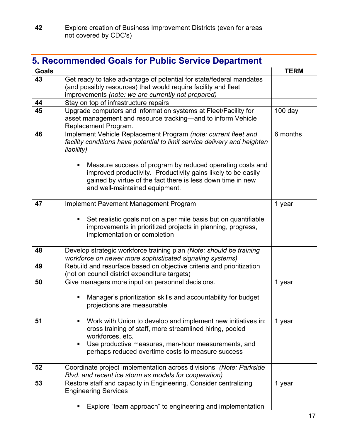# **5. Recommended Goals for Public Service Department**

| <b>Goals</b> |                                                                                                                                                                                                                                                                                                                                                                                               | <b>TERM</b> |
|--------------|-----------------------------------------------------------------------------------------------------------------------------------------------------------------------------------------------------------------------------------------------------------------------------------------------------------------------------------------------------------------------------------------------|-------------|
| 43           | Get ready to take advantage of potential for state/federal mandates<br>(and possibly resources) that would require facility and fleet<br>improvements (note: we are currently not prepared)                                                                                                                                                                                                   |             |
| 44           | Stay on top of infrastructure repairs                                                                                                                                                                                                                                                                                                                                                         |             |
| 45           | Upgrade computers and information systems at Fleet/Facility for<br>asset management and resource tracking—and to inform Vehicle<br>Replacement Program.                                                                                                                                                                                                                                       | $100$ day   |
| 46           | Implement Vehicle Replacement Program (note: current fleet and<br>facility conditions have potential to limit service delivery and heighten<br>liability)<br>Measure success of program by reduced operating costs and<br>٠<br>improved productivity. Productivity gains likely to be easily<br>gained by virtue of the fact there is less down time in new<br>and well-maintained equipment. | 6 months    |
| 47           | Implement Pavement Management Program<br>Set realistic goals not on a per mile basis but on quantifiable<br>п<br>improvements in prioritized projects in planning, progress,<br>implementation or completion                                                                                                                                                                                  | 1 year      |
| 48           | Develop strategic workforce training plan (Note: should be training<br>workforce on newer more sophisticated signaling systems)                                                                                                                                                                                                                                                               |             |
| 49           | Rebuild and resurface based on objective criteria and prioritization<br>(not on council district expenditure targets)                                                                                                                                                                                                                                                                         |             |
| 50           | Give managers more input on personnel decisions.<br>Manager's prioritization skills and accountability for budget<br>п<br>projections are measurable                                                                                                                                                                                                                                          | 1 year      |
| 51           | Work with Union to develop and implement new initiatives in:<br>٠<br>cross training of staff, more streamlined hiring, pooled<br>workforces, etc.<br>Use productive measures, man-hour measurements, and<br>п<br>perhaps reduced overtime costs to measure success                                                                                                                            | 1 year      |
| 52           | Coordinate project implementation across divisions (Note: Parkside<br>Blvd. and recent ice storm as models for cooperation)                                                                                                                                                                                                                                                                   |             |
| 53           | Restore staff and capacity in Engineering. Consider centralizing<br><b>Engineering Services</b>                                                                                                                                                                                                                                                                                               | 1 year      |
|              | Explore "team approach" to engineering and implementation                                                                                                                                                                                                                                                                                                                                     |             |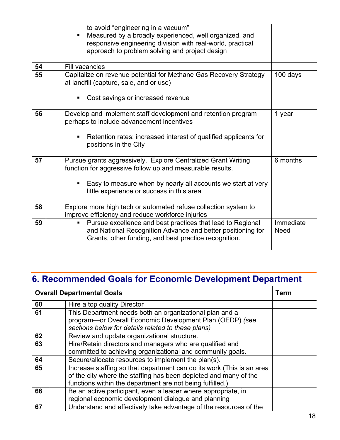|    | to avoid "engineering in a vacuum"<br>Measured by a broadly experienced, well organized, and<br>$\blacksquare$<br>responsive engineering division with real-world, practical<br>approach to problem solving and project design |                          |
|----|--------------------------------------------------------------------------------------------------------------------------------------------------------------------------------------------------------------------------------|--------------------------|
| 54 | <b>Fill vacancies</b>                                                                                                                                                                                                          |                          |
| 55 | Capitalize on revenue potential for Methane Gas Recovery Strategy<br>at landfill (capture, sale, and or use)                                                                                                                   | 100 days                 |
|    | Cost savings or increased revenue<br>٠                                                                                                                                                                                         |                          |
| 56 | Develop and implement staff development and retention program<br>perhaps to include advancement incentives                                                                                                                     | 1 year                   |
|    | Retention rates; increased interest of qualified applicants for<br>٠<br>positions in the City                                                                                                                                  |                          |
| 57 | Pursue grants aggressively. Explore Centralized Grant Writing<br>function for aggressive follow up and measurable results.                                                                                                     | 6 months                 |
|    | Easy to measure when by nearly all accounts we start at very<br>٠<br>little experience or success in this area                                                                                                                 |                          |
| 58 | Explore more high tech or automated refuse collection system to<br>improve efficiency and reduce workforce injuries                                                                                                            |                          |
| 59 | Pursue excellence and best practices that lead to Regional<br>٠<br>and National Recognition Advance and better positioning for<br>Grants, other funding, and best practice recognition.                                        | Immediate<br><b>Need</b> |

# **6. Recommended Goals for Economic Development Department**

| <b>Overall Departmental Goals</b> |                                                                                                                                                                                                        | Term |
|-----------------------------------|--------------------------------------------------------------------------------------------------------------------------------------------------------------------------------------------------------|------|
| 60                                | Hire a top quality Director                                                                                                                                                                            |      |
| 61                                | This Department needs both an organizational plan and a<br>program-or Overall Economic Development Plan (OEDP) (see                                                                                    |      |
|                                   | sections below for details related to these plans)                                                                                                                                                     |      |
| 62                                | Review and update organizational structure.                                                                                                                                                            |      |
| 63                                | Hire/Retain directors and managers who are qualified and<br>committed to achieving organizational and community goals.                                                                                 |      |
| 64                                | Secure/allocate resources to implement the plan(s).                                                                                                                                                    |      |
| 65                                | Increase staffing so that department can do its work (This is an area<br>of the city where the staffing has been depleted and many of the<br>functions within the department are not being fulfilled.) |      |
| 66                                | Be an active participant, even a leader where appropriate, in<br>regional economic development dialogue and planning                                                                                   |      |
| 67                                | Understand and effectively take advantage of the resources of the                                                                                                                                      |      |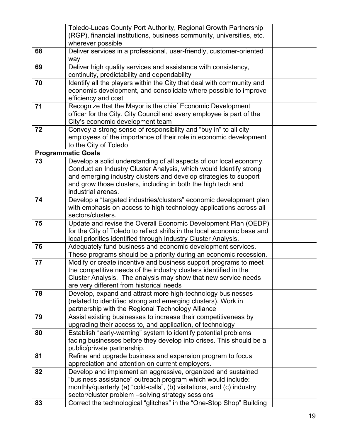|    | Toledo-Lucas County Port Authority, Regional Growth Partnership<br>(RGP), financial institutions, business community, universities, etc.<br>wherever possible |  |
|----|---------------------------------------------------------------------------------------------------------------------------------------------------------------|--|
| 68 | Deliver services in a professional, user-friendly, customer-oriented                                                                                          |  |
|    | way                                                                                                                                                           |  |
| 69 | Deliver high quality services and assistance with consistency,<br>continuity, predictability and dependability                                                |  |
| 70 | Identify all the players within the City that deal with community and                                                                                         |  |
|    | economic development, and consolidate where possible to improve<br>efficiency and cost                                                                        |  |
| 71 | Recognize that the Mayor is the chief Economic Development                                                                                                    |  |
|    | officer for the City. City Council and every employee is part of the                                                                                          |  |
| 72 | City's economic development team<br>Convey a strong sense of responsibility and "buy in" to all city                                                          |  |
|    | employees of the importance of their role in economic development                                                                                             |  |
|    | to the City of Toledo                                                                                                                                         |  |
|    | <b>Programmatic Goals</b>                                                                                                                                     |  |
| 73 | Develop a solid understanding of all aspects of our local economy.                                                                                            |  |
|    | Conduct an Industry Cluster Analysis, which would Identify strong                                                                                             |  |
|    | and emerging industry clusters and develop strategies to support                                                                                              |  |
|    | and grow those clusters, including in both the high tech and                                                                                                  |  |
| 74 | industrial arenas.                                                                                                                                            |  |
|    | Develop a "targeted industries/clusters" economic development plan<br>with emphasis on access to high technology applications across all                      |  |
|    | sectors/clusters.                                                                                                                                             |  |
| 75 | Update and revise the Overall Economic Development Plan (OEDP)                                                                                                |  |
|    | for the City of Toledo to reflect shifts in the local economic base and                                                                                       |  |
|    | local priorities identified through Industry Cluster Analysis.                                                                                                |  |
| 76 | Adequately fund business and economic development services.                                                                                                   |  |
|    | These programs should be a priority during an economic recession.                                                                                             |  |
| 77 | Modify or create incentive and business support programs to meet                                                                                              |  |
|    | the competitive needs of the industry clusters identified in the<br>Cluster Analysis. The analysis may show that new service needs                            |  |
|    | are very different from historical needs                                                                                                                      |  |
| 78 | Develop, expand and attract more high-technology businesses                                                                                                   |  |
|    | (related to identified strong and emerging clusters). Work in                                                                                                 |  |
|    | partnership with the Regional Technology Alliance                                                                                                             |  |
| 79 | Assist existing businesses to increase their competitiveness by                                                                                               |  |
|    | upgrading their access to, and application, of technology                                                                                                     |  |
| 80 | Establish "early-warning" system to identify potential problems                                                                                               |  |
|    | facing businesses before they develop into crises. This should be a                                                                                           |  |
| 81 | public/private partnership.<br>Refine and upgrade business and expansion program to focus                                                                     |  |
|    | appreciation and attention on current employers.                                                                                                              |  |
| 82 | Develop and implement an aggressive, organized and sustained                                                                                                  |  |
|    | "business assistance" outreach program which would include:                                                                                                   |  |
|    | monthly/quarterly (a) "cold-calls", (b) visitations, and (c) industry                                                                                         |  |
|    | sector/cluster problem -solving strategy sessions                                                                                                             |  |
| 83 | Correct the technological "glitches" in the "One-Stop Shop" Building                                                                                          |  |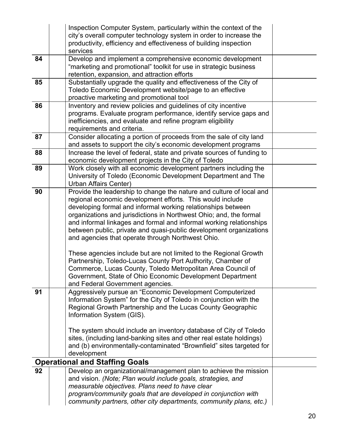|    | Inspection Computer System, particularly within the context of the<br>city's overall computer technology system in order to increase the<br>productivity, efficiency and effectiveness of building inspection                                                                                                                                                                                                                                                                                                                                                                                                                                                                                                                                                                 |  |
|----|-------------------------------------------------------------------------------------------------------------------------------------------------------------------------------------------------------------------------------------------------------------------------------------------------------------------------------------------------------------------------------------------------------------------------------------------------------------------------------------------------------------------------------------------------------------------------------------------------------------------------------------------------------------------------------------------------------------------------------------------------------------------------------|--|
|    | services                                                                                                                                                                                                                                                                                                                                                                                                                                                                                                                                                                                                                                                                                                                                                                      |  |
| 84 | Develop and implement a comprehensive economic development<br>"marketing and promotional" toolkit for use in strategic business<br>retention, expansion, and attraction efforts                                                                                                                                                                                                                                                                                                                                                                                                                                                                                                                                                                                               |  |
| 85 | Substantially upgrade the quality and effectiveness of the City of<br>Toledo Economic Development website/page to an effective<br>proactive marketing and promotional tool                                                                                                                                                                                                                                                                                                                                                                                                                                                                                                                                                                                                    |  |
| 86 | Inventory and review policies and guidelines of city incentive<br>programs. Evaluate program performance, identify service gaps and<br>inefficiencies, and evaluate and refine program eligibility<br>requirements and criteria.                                                                                                                                                                                                                                                                                                                                                                                                                                                                                                                                              |  |
| 87 | Consider allocating a portion of proceeds from the sale of city land<br>and assets to support the city's economic development programs                                                                                                                                                                                                                                                                                                                                                                                                                                                                                                                                                                                                                                        |  |
| 88 | Increase the level of federal, state and private sources of funding to<br>economic development projects in the City of Toledo                                                                                                                                                                                                                                                                                                                                                                                                                                                                                                                                                                                                                                                 |  |
| 89 | Work closely with all economic development partners including the<br>University of Toledo (Economic Development Department and The<br>Urban Affairs Center)                                                                                                                                                                                                                                                                                                                                                                                                                                                                                                                                                                                                                   |  |
| 90 | Provide the leadership to change the nature and culture of local and<br>regional economic development efforts. This would include<br>developing formal and informal working relationships between<br>organizations and jurisdictions in Northwest Ohio; and, the formal<br>and informal linkages and formal and informal working relationships<br>between public, private and quasi-public development organizations<br>and agencies that operate through Northwest Ohio.<br>These agencies include but are not limited to the Regional Growth<br>Partnership, Toledo-Lucas County Port Authority, Chamber of<br>Commerce, Lucas County, Toledo Metropolitan Area Council of<br>Government, State of Ohio Economic Development Department<br>and Federal Government agencies. |  |
| 91 | Aggressively pursue an "Economic Development Computerized<br>Information System" for the City of Toledo in conjunction with the<br>Regional Growth Partnership and the Lucas County Geographic<br>Information System (GIS).<br>The system should include an inventory database of City of Toledo<br>sites, (including land-banking sites and other real estate holdings)<br>and (b) environmentally-contaminated "Brownfield" sites targeted for<br>development                                                                                                                                                                                                                                                                                                               |  |
|    | <b>Operational and Staffing Goals</b>                                                                                                                                                                                                                                                                                                                                                                                                                                                                                                                                                                                                                                                                                                                                         |  |
| 92 | Develop an organizational/management plan to achieve the mission<br>and vision. (Note; Plan would include goals, strategies, and<br>measurable objectives. Plans need to have clear<br>program/community goals that are developed in conjunction with<br>community partners, other city departments, community plans, etc.)                                                                                                                                                                                                                                                                                                                                                                                                                                                   |  |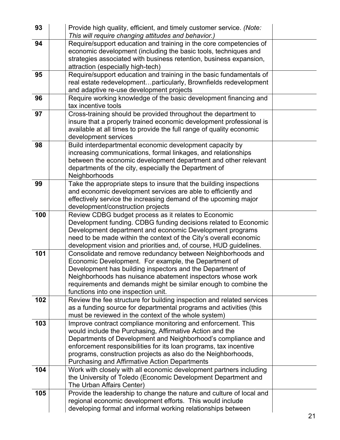| 93  | Provide high quality, efficient, and timely customer service. (Note:<br>This will require changing attitudes and behavior.)                                                                                                                                                                                                                                                            |  |
|-----|----------------------------------------------------------------------------------------------------------------------------------------------------------------------------------------------------------------------------------------------------------------------------------------------------------------------------------------------------------------------------------------|--|
| 94  | Require/support education and training in the core competencies of<br>economic development (including the basic tools, techniques and<br>strategies associated with business retention, business expansion,<br>attraction (especially high-tech)                                                                                                                                       |  |
| 95  | Require/support education and training in the basic fundamentals of<br>real estate redevelopmentparticularly, Brownfields redevelopment<br>and adaptive re-use development projects                                                                                                                                                                                                    |  |
| 96  | Require working knowledge of the basic development financing and<br>tax incentive tools                                                                                                                                                                                                                                                                                                |  |
| 97  | Cross-training should be provided throughout the department to<br>insure that a properly trained economic development professional is<br>available at all times to provide the full range of quality economic<br>development services                                                                                                                                                  |  |
| 98  | Build interdepartmental economic development capacity by<br>increasing communications, formal linkages, and relationships<br>between the economic development department and other relevant<br>departments of the city, especially the Department of<br>Neighborhoods                                                                                                                  |  |
| 99  | Take the appropriate steps to insure that the building inspections<br>and economic development services are able to efficiently and<br>effectively service the increasing demand of the upcoming major<br>development/construction projects                                                                                                                                            |  |
| 100 | Review CDBG budget process as it relates to Economic<br>Development funding. CDBG funding decisions related to Economic<br>Development department and economic Development programs<br>need to be made within the context of the City's overall economic<br>development vision and priorities and, of course, HUD guidelines.                                                          |  |
| 101 | Consolidate and remove redundancy between Neighborhoods and<br>Economic Development. For example, the Department of<br>Development has building inspectors and the Department of<br>Neighborhoods has nuisance abatement inspectors whose work<br>requirements and demands might be similar enough to combine the<br>functions into one inspection unit.                               |  |
| 102 | Review the fee structure for building inspection and related services<br>as a funding source for departmental programs and activities (this<br>must be reviewed in the context of the whole system)                                                                                                                                                                                    |  |
| 103 | Improve contract compliance monitoring and enforcement. This<br>would include the Purchasing, Affirmative Action and the<br>Departments of Development and Neighborhood's compliance and<br>enforcement responsibilities for its loan programs, tax incentive<br>programs, construction projects as also do the Neighborhoods,<br><b>Purchasing and Affirmative Action Departments</b> |  |
| 104 | Work with closely with all economic development partners including<br>the University of Toledo (Economic Development Department and<br>The Urban Affairs Center)                                                                                                                                                                                                                       |  |
| 105 | Provide the leadership to change the nature and culture of local and<br>regional economic development efforts. This would include<br>developing formal and informal working relationships between                                                                                                                                                                                      |  |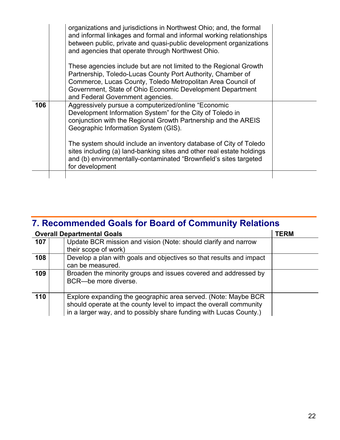|     | organizations and jurisdictions in Northwest Ohio; and, the formal<br>and informal linkages and formal and informal working relationships<br>between public, private and quasi-public development organizations<br>and agencies that operate through Northwest Ohio. |  |
|-----|----------------------------------------------------------------------------------------------------------------------------------------------------------------------------------------------------------------------------------------------------------------------|--|
|     | These agencies include but are not limited to the Regional Growth<br>Partnership, Toledo-Lucas County Port Authority, Chamber of                                                                                                                                     |  |
|     | Commerce, Lucas County, Toledo Metropolitan Area Council of<br>Government, State of Ohio Economic Development Department<br>and Federal Government agencies.                                                                                                         |  |
| 106 | Aggressively pursue a computerized/online "Economic<br>Development Information System" for the City of Toledo in<br>conjunction with the Regional Growth Partnership and the AREIS<br>Geographic Information System (GIS).                                           |  |
|     | The system should include an inventory database of City of Toledo<br>sites including (a) land-banking sites and other real estate holdings<br>and (b) environmentally-contaminated "Brownfield's sites targeted<br>for development                                   |  |
|     |                                                                                                                                                                                                                                                                      |  |

### **7. Recommended Goals for Board of Community Relations**

|     | <b>Overall Departmental Goals</b>                                                                                                                                                                          | <b>TERM</b> |
|-----|------------------------------------------------------------------------------------------------------------------------------------------------------------------------------------------------------------|-------------|
| 107 | Update BCR mission and vision (Note: should clarify and narrow                                                                                                                                             |             |
|     | their scope of work)                                                                                                                                                                                       |             |
| 108 | Develop a plan with goals and objectives so that results and impact<br>can be measured.                                                                                                                    |             |
| 109 | Broaden the minority groups and issues covered and addressed by<br>BCR-be more diverse.                                                                                                                    |             |
| 110 | Explore expanding the geographic area served. (Note: Maybe BCR<br>should operate at the county level to impact the overall community<br>in a larger way, and to possibly share funding with Lucas County.) |             |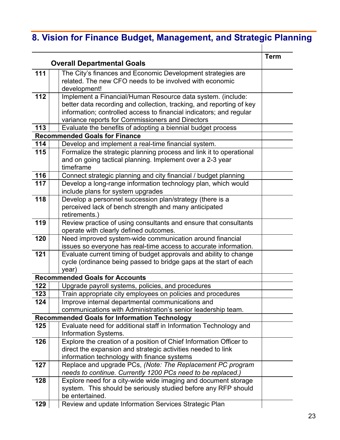# **8. Vision for Finance Budget, Management, and Strategic Planning**

| <b>Overall Departmental Goals</b> |                                                                                                                                                                                                                                                                | <b>Term</b> |
|-----------------------------------|----------------------------------------------------------------------------------------------------------------------------------------------------------------------------------------------------------------------------------------------------------------|-------------|
| 111                               | The City's finances and Economic Development strategies are<br>related. The new CFO needs to be involved with economic<br>development!                                                                                                                         |             |
| 112                               | Implement a Financial/Human Resource data system. (include:<br>better data recording and collection, tracking, and reporting of key<br>information; controlled access to financial indicators; and regular<br>variance reports for Commissioners and Directors |             |
| 113                               | Evaluate the benefits of adopting a biennial budget process                                                                                                                                                                                                    |             |
|                                   | <b>Recommended Goals for Finance</b>                                                                                                                                                                                                                           |             |
| 114                               | Develop and implement a real-time financial system.                                                                                                                                                                                                            |             |
| 115                               | Formalize the strategic planning process and link it to operational<br>and on going tactical planning. Implement over a 2-3 year<br>timeframe                                                                                                                  |             |
| 116                               | Connect strategic planning and city financial / budget planning                                                                                                                                                                                                |             |
| 117                               | Develop a long-range information technology plan, which would<br>include plans for system upgrades                                                                                                                                                             |             |
| 118                               | Develop a personnel succession plan/strategy (there is a<br>perceived lack of bench strength and many anticipated<br>retirements.)                                                                                                                             |             |
| 119                               | Review practice of using consultants and ensure that consultants<br>operate with clearly defined outcomes.                                                                                                                                                     |             |
| 120                               | Need improved system-wide communication around financial<br>issues so everyone has real-time access to accurate information.                                                                                                                                   |             |
| 121                               | Evaluate current timing of budget approvals and ability to change<br>cycle (ordinance being passed to bridge gaps at the start of each<br>year)                                                                                                                |             |
|                                   | <b>Recommended Goals for Accounts</b>                                                                                                                                                                                                                          |             |
| 122                               | Upgrade payroll systems, policies, and procedures                                                                                                                                                                                                              |             |
| 123                               | Train appropriate city employees on policies and procedures                                                                                                                                                                                                    |             |
| 124                               | Improve internal departmental communications and                                                                                                                                                                                                               |             |
|                                   | communications with Administration's senior leadership team.                                                                                                                                                                                                   |             |
|                                   | <b>Recommended Goals for Information Technology</b>                                                                                                                                                                                                            |             |
| 125                               | Evaluate need for additional staff in Information Technology and<br><b>Information Systems.</b>                                                                                                                                                                |             |
| 126                               | Explore the creation of a position of Chief Information Officer to<br>direct the expansion and strategic activities needed to link<br>information technology with finance systems                                                                              |             |
| 127                               | Replace and upgrade PCs, (Note: The Replacement PC program<br>needs to continue. Currently 1200 PCs need to be replaced.)                                                                                                                                      |             |
| 128                               | Explore need for a city-wide wide imaging and document storage<br>system. This should be seriously studied before any RFP should<br>be entertained.                                                                                                            |             |
| 129                               | Review and update Information Services Strategic Plan                                                                                                                                                                                                          |             |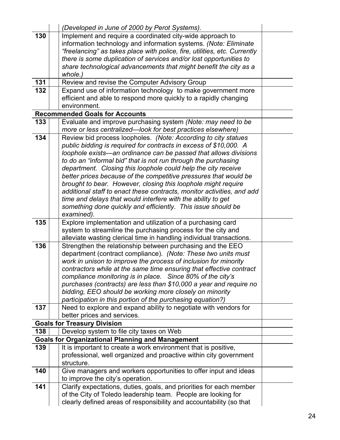|     | (Developed in June of 2000 by Perot Systems).                                                                                     |  |
|-----|-----------------------------------------------------------------------------------------------------------------------------------|--|
| 130 | Implement and require a coordinated city-wide approach to                                                                         |  |
|     | information technology and information systems. (Note: Eliminate                                                                  |  |
|     | "freelancing" as takes place with police, fire, utilities, etc. Currently                                                         |  |
|     | there is some duplication of services and/or lost opportunities to                                                                |  |
|     | share technological advancements that might benefit the city as a                                                                 |  |
| 131 | whole.)<br>Review and revise the Computer Advisory Group                                                                          |  |
| 132 | Expand use of information technology to make government more                                                                      |  |
|     | efficient and able to respond more quickly to a rapidly changing                                                                  |  |
|     | environment.                                                                                                                      |  |
|     | <b>Recommended Goals for Accounts</b>                                                                                             |  |
| 133 | Evaluate and improve purchasing system (Note: may need to be                                                                      |  |
|     | more or less centralized-look for best practices elsewhere)                                                                       |  |
| 134 | Review bid process loopholes. (Note: According to city statues                                                                    |  |
|     | public bidding is required for contracts in excess of \$10,000. A                                                                 |  |
|     | loophole exists—an ordinance can be passed that allows divisions                                                                  |  |
|     | to do an "informal bid" that is not run through the purchasing                                                                    |  |
|     | department. Closing this loophole could help the city receive<br>better prices because of the competitive pressures that would be |  |
|     | brought to bear. However, closing this loophole might require                                                                     |  |
|     | additional staff to enact these contracts, monitor activities, and add                                                            |  |
|     | time and delays that would interfere with the ability to get                                                                      |  |
|     | something done quickly and efficiently. This issue should be                                                                      |  |
|     | examined).                                                                                                                        |  |
| 135 | Explore implementation and utilization of a purchasing card                                                                       |  |
|     | system to streamline the purchasing process for the city and                                                                      |  |
|     | alleviate wasting clerical time in handling individual transactions.                                                              |  |
| 136 | Strengthen the relationship between purchasing and the EEO                                                                        |  |
|     | department (contract compliance). (Note: These two units must<br>work in unison to improve the process of inclusion for minority  |  |
|     | contractors while at the same time ensuring that effective contract                                                               |  |
|     | compliance monitoring is in place. Since 80% of the city's                                                                        |  |
|     | purchases (contracts) are less than \$10,000 a year and require no                                                                |  |
|     | bidding, EEO should be working more closely on minority                                                                           |  |
|     | participation in this portion of the purchasing equation?)                                                                        |  |
| 137 | Need to explore and expand ability to negotiate with vendors for                                                                  |  |
|     | better prices and services.                                                                                                       |  |
|     | <b>Goals for Treasury Division</b>                                                                                                |  |
| 138 | Develop system to file city taxes on Web                                                                                          |  |
| 139 | <b>Goals for Organizational Planning and Management</b><br>It is important to create a work environment that is positive,         |  |
|     | professional, well organized and proactive within city government                                                                 |  |
|     | structure.                                                                                                                        |  |
| 140 | Give managers and workers opportunities to offer input and ideas                                                                  |  |
|     | to improve the city's operation.                                                                                                  |  |
| 141 | Clarify expectations, duties, goals, and priorities for each member                                                               |  |
|     | of the City of Toledo leadership team. People are looking for                                                                     |  |
|     | clearly defined areas of responsibility and accountability (so that                                                               |  |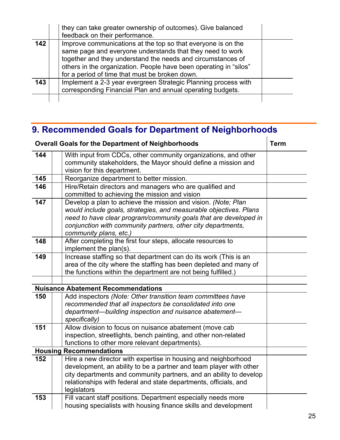|     | they can take greater ownership of outcomes). Give balanced<br>feedback on their performance.                                                                                                                                                                                                                   |  |
|-----|-----------------------------------------------------------------------------------------------------------------------------------------------------------------------------------------------------------------------------------------------------------------------------------------------------------------|--|
| 142 | Improve communications at the top so that everyone is on the<br>same page and everyone understands that they need to work<br>together and they understand the needs and circumstances of<br>others in the organization. People have been operating in "silos"<br>for a period of time that must be broken down. |  |
| 143 | Implement a 2-3 year evergreen Strategic Planning process with<br>corresponding Financial Plan and annual operating budgets.                                                                                                                                                                                    |  |
|     |                                                                                                                                                                                                                                                                                                                 |  |

# **9. Recommended Goals for Department of Neighborhoods**

|                | <b>Overall Goals for the Department of Neighborhoods</b>                                                                                                                                                                                                                                         |  |  |
|----------------|--------------------------------------------------------------------------------------------------------------------------------------------------------------------------------------------------------------------------------------------------------------------------------------------------|--|--|
| 144            | With input from CDCs, other community organizations, and other<br>community stakeholders, the Mayor should define a mission and<br>vision for this department.                                                                                                                                   |  |  |
| 145            | Reorganize department to better mission.                                                                                                                                                                                                                                                         |  |  |
| 146            | Hire/Retain directors and managers who are qualified and<br>committed to achieving the mission and vision                                                                                                                                                                                        |  |  |
| 147            | Develop a plan to achieve the mission and vision. (Note; Plan<br>would include goals, strategies, and measurable objectives. Plans<br>need to have clear program/community goals that are developed in<br>conjunction with community partners, other city departments,<br>community plans, etc.) |  |  |
| 148            | After completing the first four steps, allocate resources to<br>implement the plan(s).                                                                                                                                                                                                           |  |  |
| 149            | Increase staffing so that department can do its work (This is an<br>area of the city where the staffing has been depleted and many of<br>the functions within the department are not being fulfilled.)                                                                                           |  |  |
|                |                                                                                                                                                                                                                                                                                                  |  |  |
|                | <b>Nuisance Abatement Recommendations</b>                                                                                                                                                                                                                                                        |  |  |
| 150            | Add inspectors (Note: Other transition team committees have<br>recommended that all inspectors be consolidated into one<br>department-building inspection and nuisance abatement-<br>specifically)                                                                                               |  |  |
| 151            | Allow division to focus on nuisance abatement (move cab<br>inspection, streetlights, bench painting, and other non-related<br>functions to other more relevant departments).                                                                                                                     |  |  |
| <b>Housing</b> | <b>Recommendations</b>                                                                                                                                                                                                                                                                           |  |  |
| 152            | Hire a new director with expertise in housing and neighborhood<br>development, an ability to be a partner and team player with other<br>city departments and community partners, and an ability to develop<br>relationships with federal and state departments, officials, and<br>legislators    |  |  |
| 153            | Fill vacant staff positions. Department especially needs more<br>housing specialists with housing finance skills and development                                                                                                                                                                 |  |  |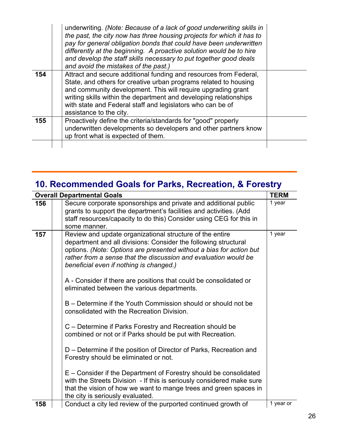|     | underwriting. (Note: Because of a lack of good underwriting skills in<br>the past, the city now has three housing projects for which it has to<br>pay for general obligation bonds that could have been underwritten<br>differently at the beginning. A proactive solution would be to hire<br>and develop the staff skills necessary to put together good deals<br>and avoid the mistakes of the past.) |  |
|-----|----------------------------------------------------------------------------------------------------------------------------------------------------------------------------------------------------------------------------------------------------------------------------------------------------------------------------------------------------------------------------------------------------------|--|
| 154 | Attract and secure additional funding and resources from Federal,<br>State, and others for creative urban programs related to housing<br>and community development. This will require upgrading grant<br>writing skills within the department and developing relationships<br>with state and Federal staff and legislators who can be of<br>assistance to the city.                                      |  |
| 155 | Proactively define the criteria/standards for "good" properly<br>underwritten developments so developers and other partners know<br>up front what is expected of them.                                                                                                                                                                                                                                   |  |
|     |                                                                                                                                                                                                                                                                                                                                                                                                          |  |

# **10. Recommended Goals for Parks, Recreation, & Forestry**

|     | <b>Overall Departmental Goals</b>                                                                                                                                                                                                                                                                                                                                                                                                                                                                                                                                                                                                                                                                                                                                                                                                                                                                                                          | <b>TERM</b> |
|-----|--------------------------------------------------------------------------------------------------------------------------------------------------------------------------------------------------------------------------------------------------------------------------------------------------------------------------------------------------------------------------------------------------------------------------------------------------------------------------------------------------------------------------------------------------------------------------------------------------------------------------------------------------------------------------------------------------------------------------------------------------------------------------------------------------------------------------------------------------------------------------------------------------------------------------------------------|-------------|
| 156 | Secure corporate sponsorships and private and additional public<br>grants to support the department's facilities and activities. (Add<br>staff resources/capacity to do this) Consider using CEG for this in<br>some manner.                                                                                                                                                                                                                                                                                                                                                                                                                                                                                                                                                                                                                                                                                                               | 1 year      |
| 157 | Review and update organizational structure of the entire<br>department and all divisions: Consider the following structural<br>options. (Note: Options are presented without a bias for action but<br>rather from a sense that the discussion and evaluation would be<br>beneficial even if nothing is changed.)<br>A - Consider if there are positions that could be consolidated or<br>eliminated between the various departments.<br>B – Determine if the Youth Commission should or should not be<br>consolidated with the Recreation Division.<br>C – Determine if Parks Forestry and Recreation should be<br>combined or not or if Parks should be put with Recreation.<br>D – Determine if the position of Director of Parks, Recreation and<br>Forestry should be eliminated or not.<br>E – Consider if the Department of Forestry should be consolidated<br>with the Streets Division - If this is seriously considered make sure | 1 year      |
|     | that the vision of how we want to mange trees and green spaces in<br>the city is seriously evaluated.                                                                                                                                                                                                                                                                                                                                                                                                                                                                                                                                                                                                                                                                                                                                                                                                                                      |             |
| 158 | Conduct a city led review of the purported continued growth of                                                                                                                                                                                                                                                                                                                                                                                                                                                                                                                                                                                                                                                                                                                                                                                                                                                                             | 1 year or   |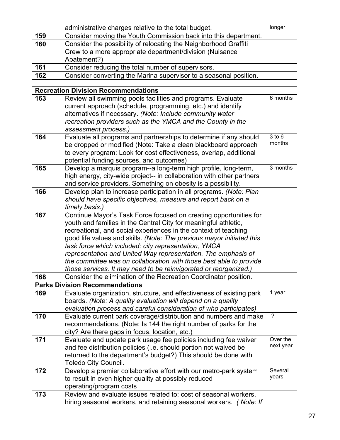|     | administrative charges relative to the total budget.                                                                                        | longer |
|-----|---------------------------------------------------------------------------------------------------------------------------------------------|--------|
| 159 | Consider moving the Youth Commission back into this department.                                                                             |        |
| 160 | Consider the possibility of relocating the Neighborhood Graffiti<br>Crew to a more appropriate department/division (Nuisance<br>Abatement?) |        |
| 161 | Consider reducing the total number of supervisors.                                                                                          |        |
| 162 | Consider converting the Marina supervisor to a seasonal position.                                                                           |        |

**Recreation Division Recommendations 163 Review all swimming pools facilities and programs. Evaluate** current approach (schedule, programming, etc.) and identify alternatives if necessary. *(Note: Include community water recreation providers such as the YMCA and the County in the assessment process.)* 6 months **164** | Evaluate all programs and partnerships to determine if any should be dropped or modified (Note: Take a clean blackboard approach to every program: Look for cost effectiveness, overlap, additional potential funding sources, and outcomes) 3 to 6 months **165 | Develop a marquis program--a long-term high profile, long-term,** high energy, city-wide project-- in collaboration with other partners and service providers. Something on obesity is a possibility. 3 months **166** Develop plan to increase participation in all programs. *(Note: Plan should have specific objectives, measure and report back on a timely basis.)* **167** Continue Mayor's Task Force focused on creating opportunities for youth and families in the Central City for meaningful athletic, recreational, and social experiences in the context of teaching good life values and skills. *(Note: The previous mayor initiated this task force which included: city representation, YMCA representation and United Way representation. The emphasis of the committee was on collaboration with those best able to provide those services. It may need to be reinvigorated or reorganized.)* **168 Consider the elimination of the Recreation Coordinator position. Parks Division Recommendations 169** | Evaluate organization, structure, and effectiveness of existing park boards. *(Note: A quality evaluation will depend on a quality evaluation process and careful consideration of who participates)* 1 year **170 | Evaluate current park coverage/distribution and numbers and make** recommendations. (Note: Is 144 the right number of parks for the city? Are there gaps in focus, location, etc.) ? **171 | Evaluate and update park usage fee policies including fee waiver** and fee distribution policies (i.e. should portion not waived be returned to the department's budget?) This should be done with Toledo City Council. Over the next year **172 Develop a premier collaborative effort with our metro-park system** to result in even higher quality at possibly reduced operating/program costs Several years **173** | Review and evaluate issues related to: cost of seasonal workers,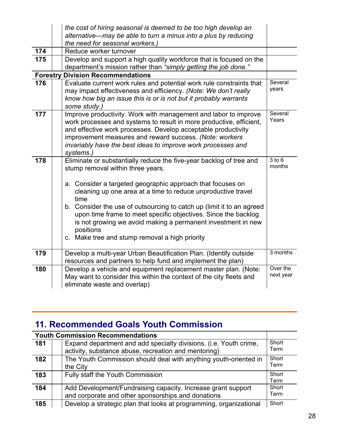|                 | the cost of hiring seasonal is deemed to be too high develop an                                                                                                                                                                                                                                                                                                                                                                                                                                                          |                       |
|-----------------|--------------------------------------------------------------------------------------------------------------------------------------------------------------------------------------------------------------------------------------------------------------------------------------------------------------------------------------------------------------------------------------------------------------------------------------------------------------------------------------------------------------------------|-----------------------|
|                 | alternative—may be able to turn a minus into a plus by reducing<br>the need for seasonal workers.)                                                                                                                                                                                                                                                                                                                                                                                                                       |                       |
| 174             | Reduce worker turnover                                                                                                                                                                                                                                                                                                                                                                                                                                                                                                   |                       |
| 175             | Develop and support a high quality workforce that is focused on the<br>department's mission rather than "simply getting the job done."                                                                                                                                                                                                                                                                                                                                                                                   |                       |
| <b>Forestry</b> | <b>Division Recommendations</b>                                                                                                                                                                                                                                                                                                                                                                                                                                                                                          |                       |
| 176             | Evaluate current work rules and potential work rule constraints that<br>may impact effectiveness and efficiency. (Note: We don't really<br>know how big an issue this is or is not but it probably warrants<br>some study.)                                                                                                                                                                                                                                                                                              | Several<br>years      |
| 177             | Improve productivity. Work with management and labor to improve<br>work processes and systems to result in more productive, efficient,<br>and effective work processes. Develop acceptable productivity<br>improvement measures and reward success. (Note: workers<br>invariably have the best ideas to improve work processes and<br>systems.)                                                                                                                                                                          | Several<br>Years      |
| 178             | Eliminate or substantially reduce the five-year backlog of tree and<br>stump removal within three years.<br>a. Consider a targeted geographic approach that focuses on<br>cleaning up one area at a time to reduce unproductive travel<br>time<br>b. Consider the use of outsourcing to catch up (limit it to an agreed<br>upon time frame to meet specific objectives. Since the backlog<br>is not growing we avoid making a permanent investment in new<br>positions<br>c. Make tree and stump removal a high priority | $3$ to $6$<br>months  |
| 179             | Develop a multi-year Urban Beautification Plan. (Identify outside<br>resources and partners to help fund and implement the plan)                                                                                                                                                                                                                                                                                                                                                                                         | 3 months              |
| 180             | Develop a vehicle and equipment replacement master plan. (Note:<br>May want to consider this within the context of the city fleets and<br>eliminate waste and overlap)                                                                                                                                                                                                                                                                                                                                                   | Over the<br>next year |

# **11. Recommended Goals Youth Commission**

|     | <b>Youth Commission Recommendations</b>                            |       |
|-----|--------------------------------------------------------------------|-------|
| 181 | Expand department and add specialty divisions. (i.e. Youth crime,  | Short |
|     | activity, substance abuse, recreation and mentoring)               | Term  |
| 182 | The Youth Commission should deal with anything youth-oriented in   | Short |
|     | the City                                                           | Term  |
| 183 | Fully staff the Youth Commission                                   | Short |
|     |                                                                    | Term  |
| 184 | Add Development/Fundraising capacity. Increase grant support       | Short |
|     | and corporate and other sponsorships and donations                 | Term  |
| 185 | Develop a strategic plan that looks at programming, organizational | Short |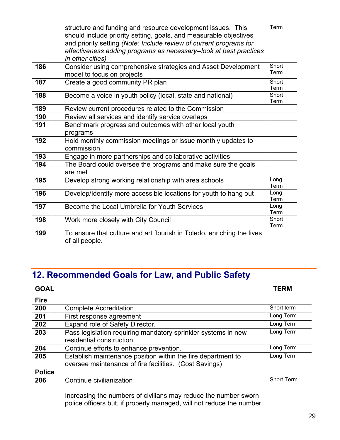|     | structure and funding and resource development issues. This<br>should include priority setting, goals, and measurable objectives<br>and priority setting (Note: Include review of current programs for<br>effectiveness adding programs as necessary--look at best practices<br>in other cities) | Term          |
|-----|--------------------------------------------------------------------------------------------------------------------------------------------------------------------------------------------------------------------------------------------------------------------------------------------------|---------------|
| 186 | Consider using comprehensive strategies and Asset Development<br>model to focus on projects                                                                                                                                                                                                      | Short<br>Term |
| 187 | Create a good community PR plan                                                                                                                                                                                                                                                                  | Short<br>Term |
| 188 | Become a voice in youth policy (local, state and national)                                                                                                                                                                                                                                       | Short<br>Term |
| 189 | Review current procedures related to the Commission                                                                                                                                                                                                                                              |               |
| 190 | Review all services and identify service overlaps                                                                                                                                                                                                                                                |               |
| 191 | Benchmark progress and outcomes with other local youth<br>programs                                                                                                                                                                                                                               |               |
| 192 | Hold monthly commission meetings or issue monthly updates to<br>commission                                                                                                                                                                                                                       |               |
| 193 | Engage in more partnerships and collaborative activities                                                                                                                                                                                                                                         |               |
| 194 | The Board could oversee the programs and make sure the goals<br>are met                                                                                                                                                                                                                          |               |
| 195 | Develop strong working relationship with area schools                                                                                                                                                                                                                                            | Long<br>Term  |
| 196 | Develop/Identify more accessible locations for youth to hang out                                                                                                                                                                                                                                 | Long<br>Term  |
| 197 | Become the Local Umbrella for Youth Services                                                                                                                                                                                                                                                     | Long<br>Term  |
| 198 | Work more closely with City Council                                                                                                                                                                                                                                                              | Short<br>Term |
| 199 | To ensure that culture and art flourish in Toledo, enriching the lives<br>of all people.                                                                                                                                                                                                         |               |

# **12. Recommended Goals for Law, and Public Safety**

| <b>GOAL</b>   |                                                                                                                                         | <b>TERM</b>       |
|---------------|-----------------------------------------------------------------------------------------------------------------------------------------|-------------------|
| <b>Fire</b>   |                                                                                                                                         |                   |
| 200           | <b>Complete Accreditation</b>                                                                                                           | Short term        |
| 201           | First response agreement                                                                                                                | Long Term         |
| 202           | Expand role of Safety Director.                                                                                                         | Long Term         |
| 203           | Pass legislation requiring mandatory sprinkler systems in new<br>residential construction.                                              | Long Term         |
| 204           | Continue efforts to enhance prevention.                                                                                                 | Long Term         |
| 205           | Establish maintenance position within the fire department to<br>oversee maintenance of fire facilities. (Cost Savings)                  | Long Term         |
| <b>Police</b> |                                                                                                                                         |                   |
| 206           | Continue civilianization                                                                                                                | <b>Short Term</b> |
|               | Increasing the numbers of civilians may reduce the number sworn<br>police officers but, if properly managed, will not reduce the number |                   |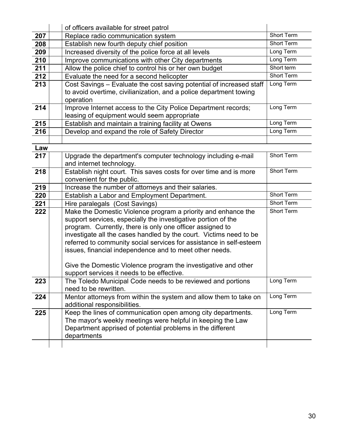|     | of officers available for street patrol                                                                                                   |                   |
|-----|-------------------------------------------------------------------------------------------------------------------------------------------|-------------------|
| 207 | Replace radio communication system                                                                                                        | Short Term        |
| 208 | Establish new fourth deputy chief position                                                                                                | <b>Short Term</b> |
| 209 | Increased diversity of the police force at all levels                                                                                     | Long Term         |
| 210 | Improve communications with other City departments                                                                                        | Long Term         |
| 211 | Allow the police chief to control his or her own budget                                                                                   | Short term        |
| 212 | Evaluate the need for a second helicopter                                                                                                 | <b>Short Term</b> |
| 213 | Cost Savings - Evaluate the cost saving potential of increased staff                                                                      | Long Term         |
|     | to avoid overtime, civilianization, and a police department towing                                                                        |                   |
|     | operation                                                                                                                                 |                   |
| 214 | Improve Internet access to the City Police Department records;                                                                            | Long Term         |
|     | leasing of equipment would seem appropriate                                                                                               |                   |
| 215 | Establish and maintain a training facility at Owens                                                                                       | Long Term         |
| 216 | Develop and expand the role of Safety Director                                                                                            | Long Term         |
|     |                                                                                                                                           |                   |
| Law |                                                                                                                                           |                   |
| 217 | Upgrade the department's computer technology including e-mail                                                                             | Short Term        |
|     | and internet technology.                                                                                                                  |                   |
| 218 | Establish night court. This saves costs for over time and is more                                                                         | Short Term        |
|     | convenient for the public.                                                                                                                |                   |
| 219 | Increase the number of attorneys and their salaries.                                                                                      |                   |
| 220 | Establish a Labor and Employment Department.                                                                                              | Short Term        |
| 221 | Hire paralegals (Cost Savings)                                                                                                            | <b>Short Term</b> |
| 222 | Make the Domestic Violence program a priority and enhance the                                                                             | Short Term        |
|     | support services, especially the investigative portion of the                                                                             |                   |
|     | program. Currently, there is only one officer assigned to                                                                                 |                   |
|     | investigate all the cases handled by the court. Victims need to be<br>referred to community social services for assistance in self-esteem |                   |
|     | issues, financial independence and to meet other needs.                                                                                   |                   |
|     |                                                                                                                                           |                   |
|     | Give the Domestic Violence program the investigative and other                                                                            |                   |
|     | support services it needs to be effective.                                                                                                |                   |
| 223 | The Toledo Municipal Code needs to be reviewed and portions                                                                               | Long Term         |
|     | need to be rewritten.                                                                                                                     |                   |
| 224 | Mentor attorneys from within the system and allow them to take on                                                                         | Long Term         |
|     | additional responsibilities.                                                                                                              |                   |
| 225 | Keep the lines of communication open among city departments.                                                                              | Long Term         |
|     | The mayor's weekly meetings were helpful in keeping the Law                                                                               |                   |
|     | Department apprised of potential problems in the different                                                                                |                   |
|     | departments                                                                                                                               |                   |
|     |                                                                                                                                           |                   |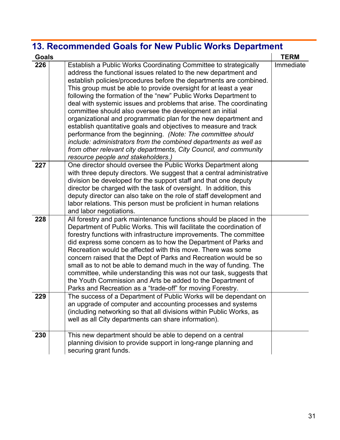# **13. Recommended Goals for New Public Works Department**

| <b>Goals</b> |                                                                                                                                                                                                                                                                                                                                                                                                                                                                                                                                                                                                                                                                                                                                                                                                                                                                          | <b>TERM</b> |
|--------------|--------------------------------------------------------------------------------------------------------------------------------------------------------------------------------------------------------------------------------------------------------------------------------------------------------------------------------------------------------------------------------------------------------------------------------------------------------------------------------------------------------------------------------------------------------------------------------------------------------------------------------------------------------------------------------------------------------------------------------------------------------------------------------------------------------------------------------------------------------------------------|-------------|
| 226          | Establish a Public Works Coordinating Committee to strategically<br>address the functional issues related to the new department and<br>establish policies/procedures before the departments are combined.<br>This group must be able to provide oversight for at least a year<br>following the formation of the "new" Public Works Department to<br>deal with systemic issues and problems that arise. The coordinating<br>committee should also oversee the development an initial<br>organizational and programmatic plan for the new department and<br>establish quantitative goals and objectives to measure and track<br>performance from the beginning. (Note: The committee should<br>include: administrators from the combined departments as well as<br>from other relevant city departments, City Council, and community<br>resource people and stakeholders.) | Immediate   |
| 227          | One director should oversee the Public Works Department along<br>with three deputy directors. We suggest that a central administrative<br>division be developed for the support staff and that one deputy<br>director be charged with the task of oversight. In addition, this<br>deputy director can also take on the role of staff development and<br>labor relations. This person must be proficient in human relations<br>and labor negotiations.                                                                                                                                                                                                                                                                                                                                                                                                                    |             |
| 228          | All forestry and park maintenance functions should be placed in the<br>Department of Public Works. This will facilitate the coordination of<br>forestry functions with infrastructure improvements. The committee<br>did express some concern as to how the Department of Parks and<br>Recreation would be affected with this move. There was some<br>concern raised that the Dept of Parks and Recreation would be so<br>small as to not be able to demand much in the way of funding. The<br>committee, while understanding this was not our task, suggests that<br>the Youth Commission and Arts be added to the Department of<br>Parks and Recreation as a "trade-off" for moving Forestry.                                                                                                                                                                          |             |
| 229          | The success of a Department of Public Works will be dependant on<br>an upgrade of computer and accounting processes and systems<br>(including networking so that all divisions within Public Works, as<br>well as all City departments can share information).                                                                                                                                                                                                                                                                                                                                                                                                                                                                                                                                                                                                           |             |
| 230          | This new department should be able to depend on a central<br>planning division to provide support in long-range planning and<br>securing grant funds.                                                                                                                                                                                                                                                                                                                                                                                                                                                                                                                                                                                                                                                                                                                    |             |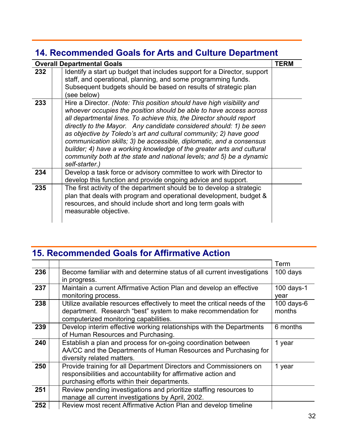# **14. Recommended Goals for Arts and Culture Department**

| <b>Overall Departmental Goals</b> |                                                                                                                                                                                                                                                                                                                                                                                                                                                                                                                                                                                                         |  |
|-----------------------------------|---------------------------------------------------------------------------------------------------------------------------------------------------------------------------------------------------------------------------------------------------------------------------------------------------------------------------------------------------------------------------------------------------------------------------------------------------------------------------------------------------------------------------------------------------------------------------------------------------------|--|
| 232                               | Identify a start up budget that includes support for a Director, support<br>staff, and operational, planning, and some programming funds.<br>Subsequent budgets should be based on results of strategic plan<br>(see below)                                                                                                                                                                                                                                                                                                                                                                             |  |
| 233                               | Hire a Director. (Note: This position should have high visibility and<br>whoever occupies the position should be able to have access across<br>all departmental lines. To achieve this, the Director should report<br>directly to the Mayor. Any candidate considered should: 1) be seen<br>as objective by Toledo's art and cultural community; 2) have good<br>communication skills; 3) be accessible, diplomatic, and a consensus<br>builder; 4) have a working knowledge of the greater arts and cultural<br>community both at the state and national levels; and 5) be a dynamic<br>self-starter.) |  |
| 234                               | Develop a task force or advisory committee to work with Director to<br>develop this function and provide ongoing advice and support.                                                                                                                                                                                                                                                                                                                                                                                                                                                                    |  |
| 235                               | The first activity of the department should be to develop a strategic<br>plan that deals with program and operational development, budget &<br>resources, and should include short and long term goals with<br>measurable objective.                                                                                                                                                                                                                                                                                                                                                                    |  |

# **15. Recommended Goals for Affirmative Action**

|     |                                                                           | Term          |
|-----|---------------------------------------------------------------------------|---------------|
| 236 | Become familiar with and determine status of all current investigations   | 100 days      |
|     | in progress.                                                              |               |
| 237 | Maintain a current Affirmative Action Plan and develop an effective       | $100$ days-1  |
|     | monitoring process.                                                       | year          |
| 238 | Utilize available resources effectively to meet the critical needs of the | 100 days- $6$ |
|     | department. Research "best" system to make recommendation for             | months        |
|     | computerized monitoring capabilities.                                     |               |
| 239 | Develop interim effective working relationships with the Departments      | 6 months      |
|     | of Human Resources and Purchasing.                                        |               |
| 240 | Establish a plan and process for on-going coordination between            | 1 year        |
|     | AA/CC and the Departments of Human Resources and Purchasing for           |               |
|     | diversity related matters.                                                |               |
| 250 | Provide training for all Department Directors and Commissioners on        | 1 year        |
|     | responsibilities and accountability for affirmative action and            |               |
|     | purchasing efforts within their departments.                              |               |
| 251 | Review pending investigations and prioritize staffing resources to        |               |
|     | manage all current investigations by April, 2002.                         |               |
| 252 | Review most recent Affirmative Action Plan and develop timeline           |               |